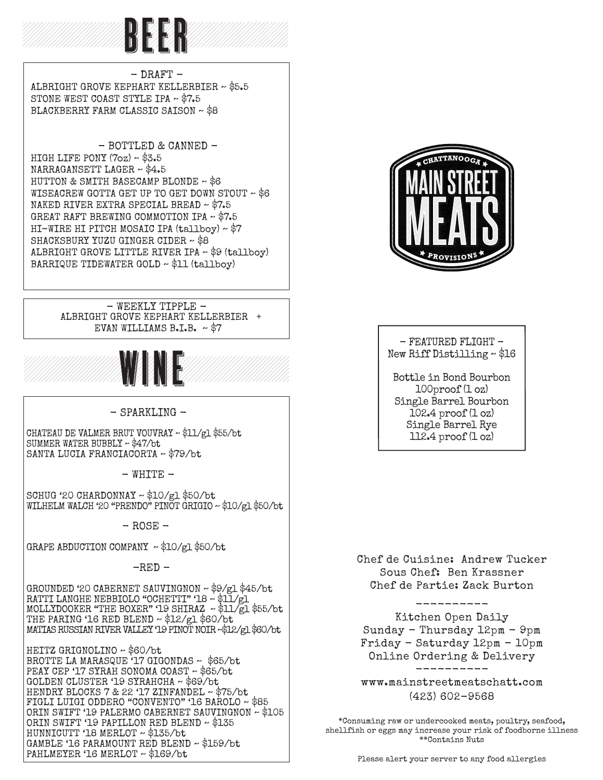

 $-$  DRAFT  $-$  ALBRIGHT GROVE KEPHART KELLERBIER ~ \$5.5 STONE WEST COAST STYLE IPA ~ \$7.5 BLACKBERRY FARM CLASSIC SAISON ~ \$8

- BOTTLED & CANNED - HIGH LIFE PONY (7oz) ~ \$3.5 NARRAGANSETT LAGER ~ \$4.5 HUTTON & SMITH BASECAMP BLONDE ~ \$6 WISEACREW GOTTA GET UP TO GET DOWN STOUT  $\sim$  \$6 NAKED RIVER EXTRA SPECIAL BREAD ~ \$7.5 GREAT RAFT BREWING COMMOTION IPA ~ \$7.5 HI-WIRE HI PITCH MOSAIC IPA (tallboy) ~ \$7 SHACKSBURY YUZU GINGER CIDER ~ \$8 ALBRIGHT GROVE LITTLE RIVER IPA ~ \$9 (tallboy) BARRIQUE TIDEWATER GOLD ~ \$11 (tallboy)

#### - WEEKLY TIPPLE - ALBRIGHT GROVE KEPHART KELLERBIER + EVAN WILLIAMS B.I.B.  $\sim$  \$7



#### - SPARKLING -

CHATEAU DE VALMER BRUT VOUVRAY ~ \$11/gl \$55/bt SUMMER WATER BUBBLY ~ \$47/bt SANTA LUCIA FRANCIACORTA ~ \$79/bt

 $-$  WHITE  $-$ 

SCHUG '20 CHARDONNAY ~ \$10/gl \$50/bt WILHELM WALCH '20 "PRENDO" PINOT GRIGIO ~ \$10/gl \$50/bt

 $-$  ROSE  $-$ 

GRAPE ABDUCTION COMPANY ~ \$10/gl \$50/bt

 $-RED -$ 

GROUNDED '20 CABERNET SAUVINGNON ~ \$9/gl \$45/bt RATTI LANGHE NEBBIOLO "OCHETTI" '18 ~ \$11/gl MOLLYDOOKER "THE BOXER" '19 SHIRAZ ~ \$11/gl \$55/bt THE PARING '16 RED BLEND ~ \$12/gl \$60/bt MATIAS RUSSIAN RIVER VALLEY '19 PINOT NOIR ~\$12/gl \$60/bt

HEITZ GRIGNOLINO ~ \$60/bt BROTTE LA MARASQUE '17 GIGONDAS ~ \$65/bt PEAY CEP '17 SYRAH SONOMA COAST ~ \$65/bt GOLDEN CLUSTER '19 SYRAHCHA ~ \$69/bt HENDRY BLOCKS 7 & 22 '17 ZINFANDEL ~ \$75/bt FIGLI LUIGI ODDERO "CONVENTO" '16 BAROLO ~ \$85 ORIN SWIFT '19 PALERMO CABERNET SAUVINGNON ~ \$105 ORIN SWIFT '19 PAPILLON RED BLEND ~ \$135 HUNNICUTT '18 MERLOT ~ \$135/bt GAMBLE '16 PARAMOUNT RED BLEND ~ \$159/bt PAHLMEYER '16 MERLOT ~ \$169/bt



#### $-$  FEATURED FLIGHT  $-$ New Riff Distilling ~ \$16

Bottle in Bond Bourbon 100proof (1 oz) Single Barrel Bourbon 102.4 proof (1 oz) Single Barrel Rye 112.4 proof (1 oz)

Chef de Cuisine: Andrew Tucker Sous Chef: Ben Krassner Chef de Partie: Zack Burton

----------

Kitchen Open Daily Sunday - Thursday 12pm - 9pm Friday - Saturday 12pm - 10pm Online Ordering & Delivery ----------

www.mainstreetmeatschatt.com (423) 602-9568

\*Consuming raw or undercooked meats, poultry, seafood, shellfish or eggs may increase your risk of foodborne illness \*\*Contains Nuts